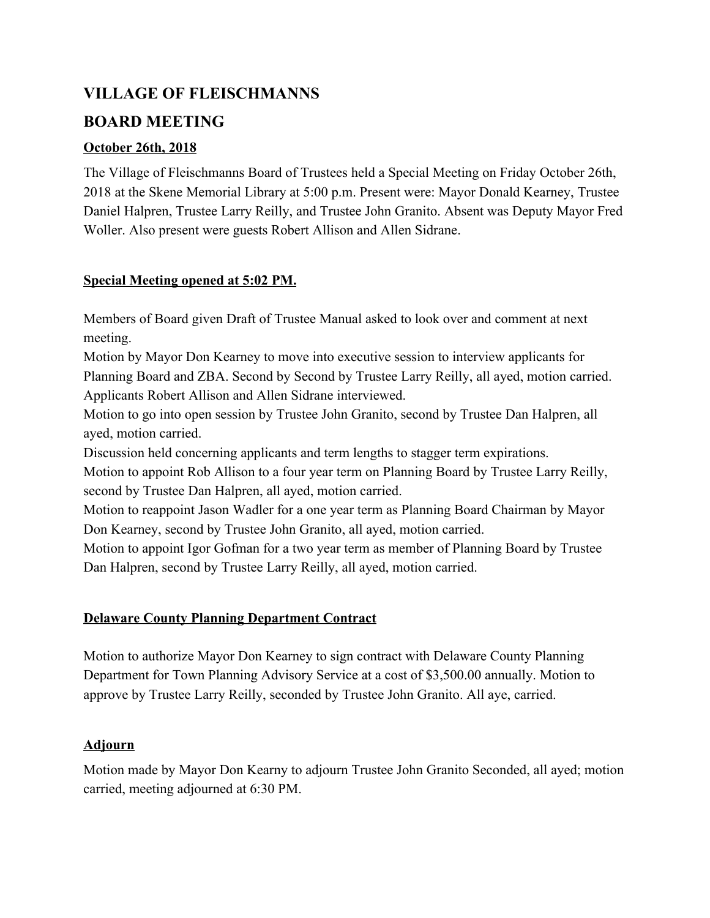# **VILLAGE OF FLEISCHMANNS BOARD MEETING**

### **October 26th, 2018**

The Village of Fleischmanns Board of Trustees held a Special Meeting on Friday October 26th, 2018 at the Skene Memorial Library at 5:00 p.m. Present were: Mayor Donald Kearney, Trustee Daniel Halpren, Trustee Larry Reilly, and Trustee John Granito. Absent was Deputy Mayor Fred Woller. Also present were guests Robert Allison and Allen Sidrane.

### **Special Meeting opened at 5:02 PM.**

Members of Board given Draft of Trustee Manual asked to look over and comment at next meeting.

Motion by Mayor Don Kearney to move into executive session to interview applicants for Planning Board and ZBA. Second by Second by Trustee Larry Reilly, all ayed, motion carried. Applicants Robert Allison and Allen Sidrane interviewed.

Motion to go into open session by Trustee John Granito, second by Trustee Dan Halpren, all ayed, motion carried.

Discussion held concerning applicants and term lengths to stagger term expirations.

Motion to appoint Rob Allison to a four year term on Planning Board by Trustee Larry Reilly, second by Trustee Dan Halpren, all ayed, motion carried.

Motion to reappoint Jason Wadler for a one year term as Planning Board Chairman by Mayor Don Kearney, second by Trustee John Granito, all ayed, motion carried.

Motion to appoint Igor Gofman for a two year term as member of Planning Board by Trustee Dan Halpren, second by Trustee Larry Reilly, all ayed, motion carried.

## **Delaware County Planning Department Contract**

Motion to authorize Mayor Don Kearney to sign contract with Delaware County Planning Department for Town Planning Advisory Service at a cost of \$3,500.00 annually. Motion to approve by Trustee Larry Reilly, seconded by Trustee John Granito. All aye, carried.

#### **Adjourn**

Motion made by Mayor Don Kearny to adjourn Trustee John Granito Seconded, all ayed; motion carried, meeting adjourned at 6:30 PM.